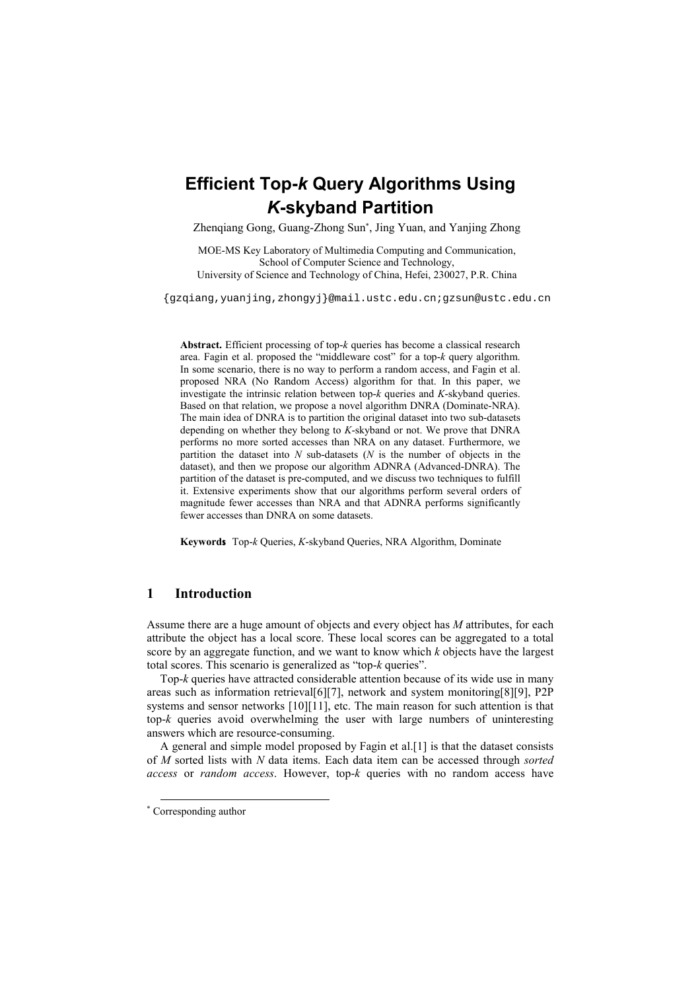# **Efficient Top-k Query Algorithms Using K-skyband Partition**

Zhenqiang Gong, Guang-Zhong Sun\*, Jing Yuan, and Yanjing Zhong

MOE-MS Key Laboratory of Multimedia Computing and Communication, School of Computer Science and Technology, University of Science and Technology of China, Hefei, 230027, P.R. China

{gzqiang, yuanjing, zhongyj}@mail.ustc.edu.cn; gzsun@ustc.edu.cn

Abstract. Efficient processing of top- $k$  queries has become a classical research area. Fagin et al. proposed the "middleware cost" for a top- $k$  query algorithm. In some scenario, there is no way to perform a random access, and Fagin et al. proposed NRA (No Random Access) algorithm for that. In this paper, we investigate the intrinsic relation between top- $k$  queries and  $K$ -skyband queries. Based on that relation, we propose a novel algorithm DNRA (Dominate-NRA). The main idea of DNRA is to partition the original dataset into two sub-datasets depending on whether they belong to K-skyband or not. We prove that DNRA performs no more sorted accesses than NRA on any dataset. Furthermore, we partition the dataset into  $N$  sub-datasets  $(N$  is the number of objects in the dataset), and then we propose our algorithm ADNRA (Advanced-DNRA). The partition of the dataset is pre-computed, and we discuss two techniques to fulfill it. Extensive experiments show that our algorithms perform several orders of magnitude fewer accesses than NRA and that ADNRA performs significantly fewer accesses than DNRA on some datasets.

Keywords Top-k Queries, K-skyband Queries, NRA Algorithm, Dominate

#### $\mathbf{1}$ **Introduction**

Assume there are a huge amount of objects and every object has M attributes, for each attribute the object has a local score. These local scores can be aggregated to a total score by an aggregate function, and we want to know which  $k$  objects have the largest total scores. This scenario is generalized as "top- $k$  queries".

Top-k queries have attracted considerable attention because of its wide use in many areas such as information retrieval[6][7], network and system monitoring[8][9], P2P systems and sensor networks [10][11], etc. The main reason for such attention is that top- $k$  queries avoid overwhelming the user with large numbers of uninteresting answers which are resource-consuming.

A general and simple model proposed by Fagin et al. [1] is that the dataset consists of M sorted lists with N data items. Each data item can be accessed through sorted access or random access. However, top-k queries with no random access have

<sup>\*</sup> Corresponding author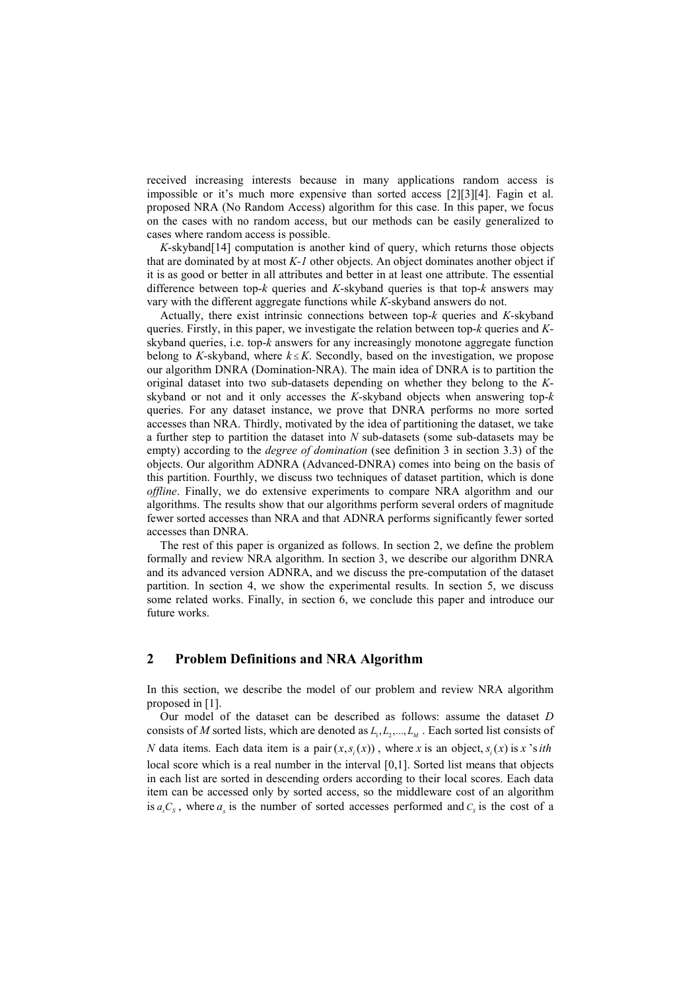received increasing interests because in many applications random access is impossible or it's much more expensive than sorted access  $[2][3][4]$ . Fagin et al. proposed NRA (No Random Access) algorithm for this case. In this paper, we focus on the cases with no random access, but our methods can be easily generalized to cases where random access is possible.

K-skyband[14] computation is another kind of query, which returns those objects that are dominated by at most  $K-I$  other objects. An object dominates another object if it is as good or better in all attributes and better in at least one attribute. The essential difference between top- $k$  queries and  $K$ -skyband queries is that top- $k$  answers may vary with the different aggregate functions while  $K$ -skyband answers do not.

Actually, there exist intrinsic connections between top- $k$  queries and  $K$ -skyband queries. Firstly, in this paper, we investigate the relation between top- $k$  queries and  $K$ skyband queries, i.e. top- $k$  answers for any increasingly monotone aggregate function belong to K-skyband, where  $k \leq K$ . Secondly, based on the investigation, we propose our algorithm DNRA (Domination-NRA). The main idea of DNRA is to partition the original dataset into two sub-datasets depending on whether they belong to the Kskyband or not and it only accesses the K-skyband objects when answering top- $k$ queries. For any dataset instance, we prove that DNRA performs no more sorted accesses than NRA. Thirdly, motivated by the idea of partitioning the dataset, we take a further step to partition the dataset into  $N$  sub-datasets (some sub-datasets may be empty) according to the *degree of domination* (see definition 3 in section 3.3) of the objects. Our algorithm ADNRA (Advanced-DNRA) comes into being on the basis of this partition. Fourthly, we discuss two techniques of dataset partition, which is done *offline*. Finally, we do extensive experiments to compare NRA algorithm and our algorithms. The results show that our algorithms perform several orders of magnitude fewer sorted accesses than NRA and that ADNRA performs significantly fewer sorted accesses than DNRA.

The rest of this paper is organized as follows. In section 2, we define the problem formally and review NRA algorithm. In section 3, we describe our algorithm DNRA and its advanced version ADNRA, and we discuss the pre-computation of the dataset partition. In section 4, we show the experimental results. In section 5, we discuss some related works. Finally, in section 6, we conclude this paper and introduce our future works.

#### $\overline{2}$ **Problem Definitions and NRA Algorithm**

In this section, we describe the model of our problem and review NRA algorithm proposed in [1].

Our model of the dataset can be described as follows: assume the dataset D consists of M sorted lists, which are denoted as  $L_1, L_2, ..., L_M$ . Each sorted list consists of N data items. Each data item is a pair  $(x, s_i(x))$ , where x is an object,  $s_i(x)$  is x's ith local score which is a real number in the interval [0,1]. Sorted list means that objects in each list are sorted in descending orders according to their local scores. Each data item can be accessed only by sorted access, so the middleware cost of an algorithm is  $a_{\rm c}$ , where  $a_{\rm c}$  is the number of sorted accesses performed and  $c_{\rm s}$  is the cost of a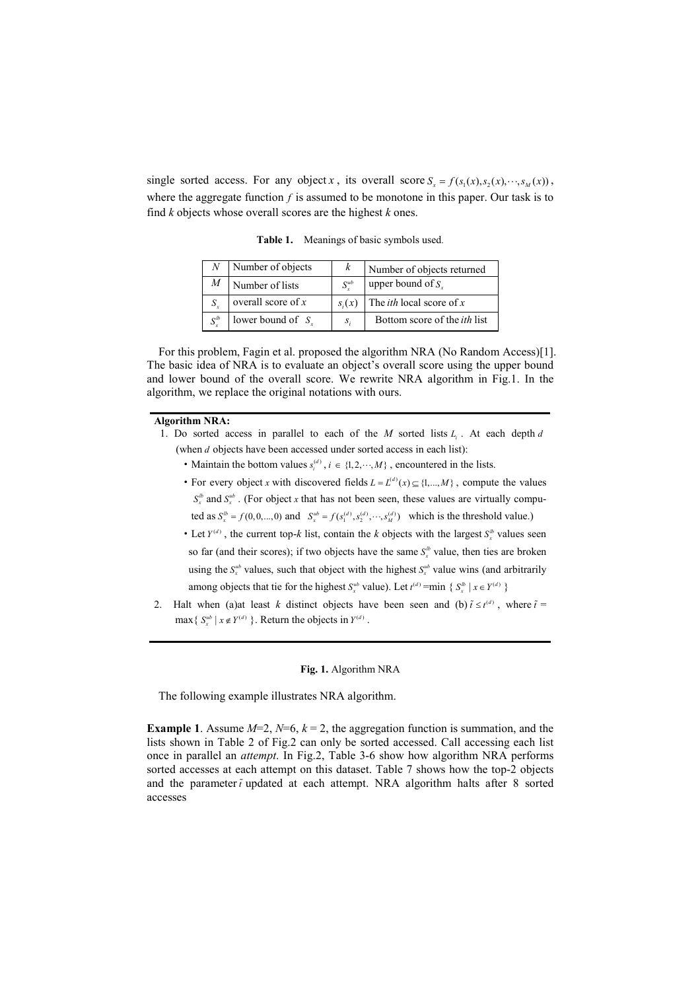single sorted access. For any object x, its overall score  $S_r = f(s_1(x), s_2(x), \dots, s_M(x))$ , where the aggregate function  $f$  is assumed to be monotone in this paper. Our task is to find  $k$  objects whose overall scores are the highest  $k$  ones.

|              | Number of objects    | k        | Number of objects returned          |
|--------------|----------------------|----------|-------------------------------------|
|              | Number of lists      | $S^{ub}$ | upper bound of $S$ .                |
|              | overall score of $x$ | S(x)     | The <i>ith</i> local score of x     |
| $S_{r}^{lb}$ | lower bound of $S_r$ | $S_i$    | Bottom score of the <i>ith</i> list |

Table 1. Meanings of basic symbols used.

For this problem, Fagin et al. proposed the algorithm NRA (No Random Access)[1]. The basic idea of NRA is to evaluate an object's overall score using the upper bound and lower bound of the overall score. We rewrite NRA algorithm in Fig.1. In the algorithm, we replace the original notations with ours.

### **Algorithm NRA:**

- 1. Do sorted access in parallel to each of the  $M$  sorted lists  $L_i$ . At each depth  $d$ (when  $d$  objects have been accessed under sorted access in each list):
	- Maintain the bottom values  $s_i^{(d)}$ ,  $i \in \{1, 2, \dots, M\}$ , encountered in the lists.
	- For every object x with discovered fields  $L = L^{(d)}(x) \subset \{1, ..., M\}$ , compute the values  $S_{\nu}^{lb}$  and  $S_{\nu}^{ub}$ . (For object x that has not been seen, these values are virtually computed as  $S_x^h = f(0, 0, ..., 0)$  and  $S_y^{ub} = f(s_1^{(d)}, s_2^{(d)}, ..., s_M^{(d)})$  which is the threshold value.)
	- Let  $Y^{(d)}$ , the current top-k list, contain the k objects with the largest  $S^b$  values seen so far (and their scores); if two objects have the same  $S^h_{\nu}$  value, then ties are broken using the  $S_r^{\mu b}$  values, such that object with the highest  $S_r^{\mu b}$  value wins (and arbitrarily among objects that tie for the highest  $S^{ub}_\nu$  value). Let  $t^{(d)}$  =min  $\{S^{tb}_\nu \mid x \in Y^{(d)}\}$
- 2. Halt when (a) at least k distinct objects have been seen and (b)  $\tilde{t} \leq t^{(d)}$ , where  $\tilde{t} =$ max  $\{ S_{n}^{ub} | x \notin Y^{(d)} \}$ . Return the objects in  $Y^{(d)}$ .

#### Fig. 1. Algorithm NRA

The following example illustrates NRA algorithm.

**Example 1.** Assume  $M=2$ .  $N=6$ .  $k=2$ . the aggregation function is summation, and the lists shown in Table 2 of Fig.2 can only be sorted accessed. Call accessing each list once in parallel an *attempt*. In Fig.2, Table 3-6 show how algorithm NRA performs sorted accesses at each attempt on this dataset. Table 7 shows how the top-2 objects and the parameter  $\tilde{t}$  updated at each attempt. NRA algorithm halts after 8 sorted accesses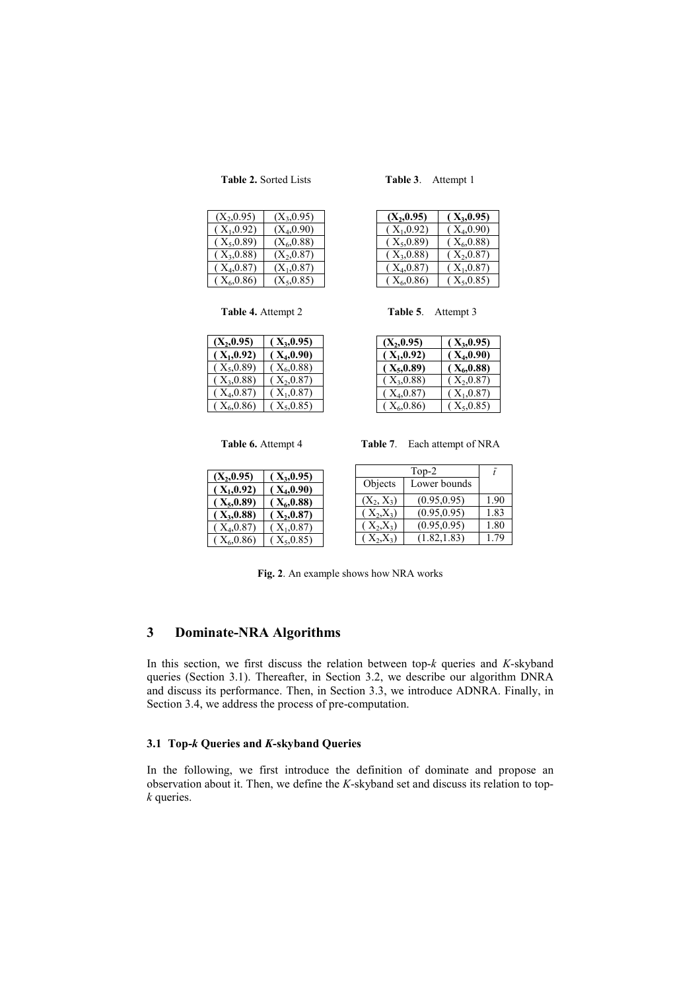# Table 2. Sorted Lists

### Table 3. Attempt 1

| $(X_2, 0.95)$ | $(X_3, 0.95)$ |
|---------------|---------------|
| $X_1, 0.92$   | $(X_4, 0.90)$ |
| $X_5, 0.89$   | $(X_6, 0.88)$ |
| $(X_3, 0.88)$ | $(X_2, 0.87)$ |
| $X_4, 0.87$   | $(X_1, 0.87)$ |
| $(X_6, 0.86)$ | $(X_5, 0.85)$ |

 $(X_2, 0.95)$  $(X_3, 0.95)$  $(X_1, 0.92)$  $(X_4, 0.90)$  $(X_5, 0.89)$  $(X_6, 0.88)$  $(X_3, 0.88)$  $(X_2, 0.87)$  $(X_4, 0.87)$  $(X_1, 0.87)$  $(X_6, 0.86)$  $(X_5, 0.85)$ 

Table 4. Attempt 2

 $(X_2, 0.95)$  $(X_3, 0.95)$  $(X_1, 0.92)$  $(X_4, 0.90)$  $(X_5, 0.89)$  $(X_6, 0.88)$  $(X_3, 0.88)$  $(X_2, 0.87)$  $(X_4, 0.87)$  $(X_1, 0.87)$  $(X_6, 0.86)$  $(X_5, 0.85)$ 

Table 5. Attempt 3

| $(X_2, 0.95)$ | $(X_3, 0.95)$ |
|---------------|---------------|
| $(X_1, 0.92)$ | $(X_4, 0.90)$ |
| $(X_5, 0.89)$ | $(X_6, 0.88)$ |
| $(X_3, 0.88)$ | $(X_2, 0.87)$ |
| $(X_4, 0.87)$ | $(X_1, 0.87)$ |
| $(X_6, 0.86)$ | $(X_5, 0.85)$ |

Table 6. Attempt 4

Table 7. Each attempt of NRA

| $(X_2, 0.95)$ | $(X_3, 0.95)$ |
|---------------|---------------|
| $(X_1, 0.92)$ | $(X_4, 0.90)$ |
| $(X_5, 0.89)$ | $(X_6, 0.88)$ |
| $(X_3, 0.88)$ | $(X_2, 0.87)$ |
| $(X_4, 0.87)$ | $(X_1, 0.87)$ |
| $(X_6, 0.86)$ | $(X_5, 0.85)$ |

| Objects      | Lower bounds |      |
|--------------|--------------|------|
| $(X_2, X_3)$ | (0.95, 0.95) | 1.90 |
| $(X_2, X_3)$ | (0.95, 0.95) | 1.83 |
| $(X_2,X_3)$  | (0.95, 0.95) | 1.80 |
| $X_2, X_3$   | (1.82, 1.83) | 1.79 |

Fig. 2. An example shows how NRA works

#### $\overline{\mathbf{3}}$ **Dominate-NRA Algorithms**

In this section, we first discuss the relation between top- $k$  queries and  $K$ -skyband queries (Section 3.1). Thereafter, in Section 3.2, we describe our algorithm DNRA and discuss its performance. Then, in Section 3.3, we introduce ADNRA. Finally, in Section 3.4, we address the process of pre-computation.

# 3.1 Top-k Queries and K-skyband Queries

In the following, we first introduce the definition of dominate and propose an observation about it. Then, we define the  $K$ -skyband set and discuss its relation to top $k$  queries.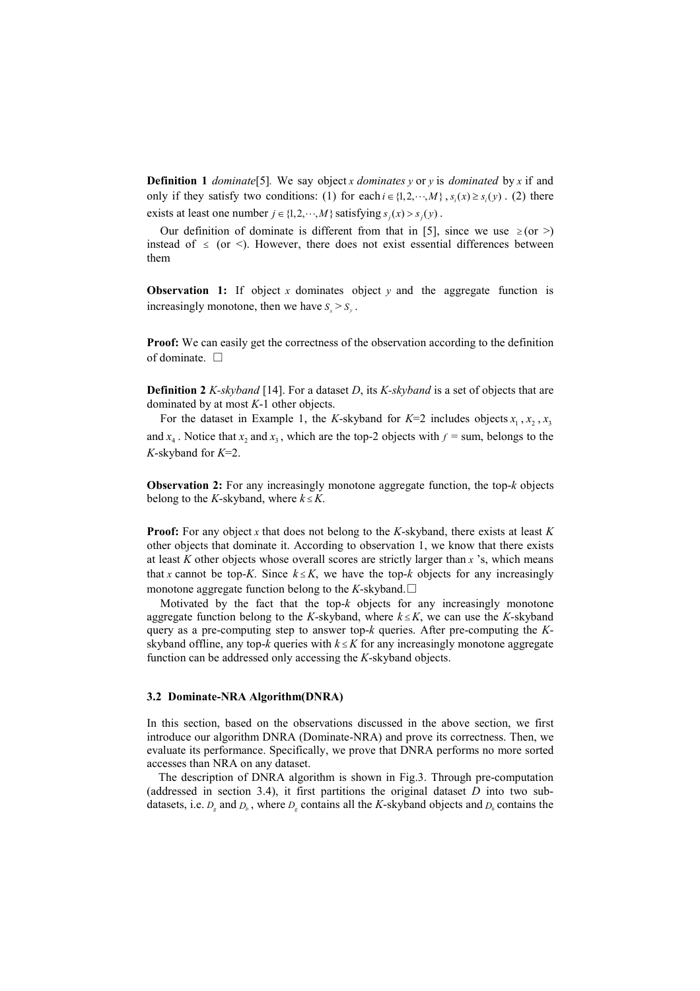**Definition 1** dominate<sup>[5]</sup>. We say object x dominates y or y is dominated by x if and only if they satisfy two conditions: (1) for each  $i \in \{1, 2, \dots, M\}$ ,  $s_i(x) \ge s_i(y)$ . (2) there exists at least one number  $j \in \{1, 2, \dots, M\}$  satisfying  $s_i(x) > s_i(y)$ .

Our definition of dominate is different from that in [5], since we use  $\geq$  (or  $\geq$ ) instead of  $\leq$  (or  $\leq$ ). However, there does not exist essential differences between them

**Observation 1:** If object x dominates object y and the aggregate function is increasingly monotone, then we have  $S_r > S_r$ .

**Proof:** We can easily get the correctness of the observation according to the definition of dominate.  $\square$ 

**Definition 2** K-skyband [14]. For a dataset D, its K-skyband is a set of objects that are dominated by at most  $K-1$  other objects.

For the dataset in Example 1, the K-skyband for K=2 includes objects  $x_1, x_2, x_3$ and  $x_4$ . Notice that x, and x, which are the top-2 objects with  $f =$  sum, belongs to the  $K$ -skyband for  $K=2$ .

**Observation 2:** For any increasingly monotone aggregate function, the top- $k$  objects belong to the K-skyband, where  $k \le K$ .

**Proof:** For any object x that does not belong to the K-skyband, there exists at least K other objects that dominate it. According to observation 1, we know that there exists at least  $K$  other objects whose overall scores are strictly larger than  $x$  's, which means that x cannot be top-K. Since  $k \le K$ , we have the top-k objects for any increasingly monotone aggregate function belong to the *K*-skyband.  $\Box$ 

Motivated by the fact that the top- $k$  objects for any increasingly monotone aggregate function belong to the K-skyband, where  $k \le K$ , we can use the K-skyband query as a pre-computing step to answer top-k queries. After pre-computing the Kskyband offline, any top-k queries with  $k \leq K$  for any increasingly monotone aggregate function can be addressed only accessing the K-skyband objects.

### 3.2 Dominate-NRA Algorithm(DNRA)

In this section, based on the observations discussed in the above section, we first introduce our algorithm DNRA (Dominate-NRA) and prove its correctness. Then, we evaluate its performance. Specifically, we prove that DNRA performs no more sorted accesses than NRA on any dataset.

The description of DNRA algorithm is shown in Fig.3. Through pre-computation (addressed in section 3.4), it first partitions the original dataset  $D$  into two subdatasets, i.e.  $D_n$  and  $D_b$ , where  $D_n$  contains all the K-skyband objects and  $D_b$  contains the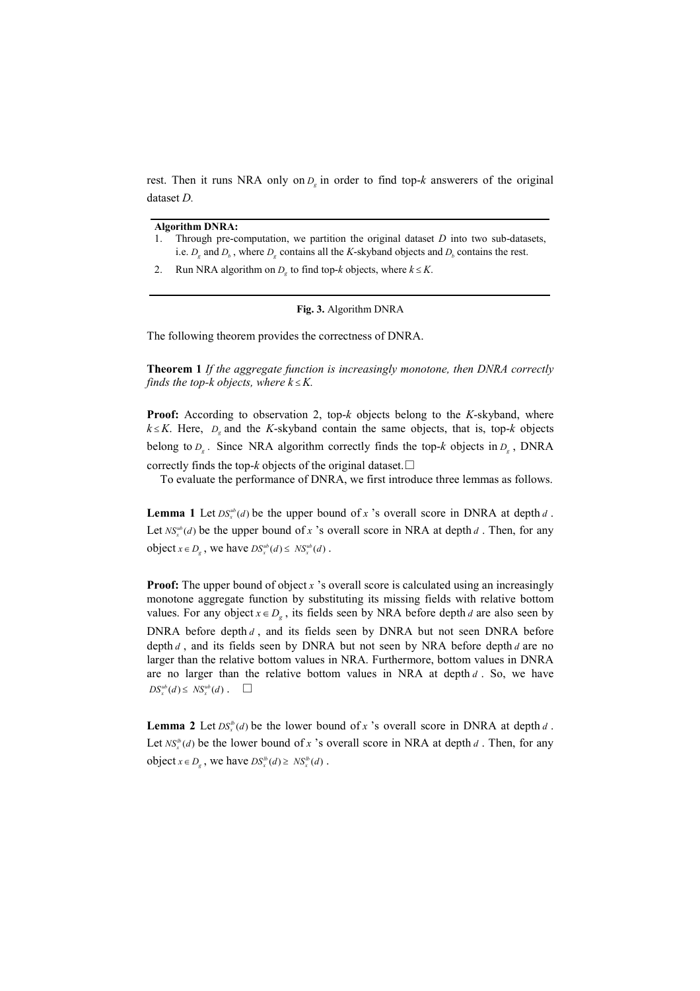rest. Then it runs NRA only on  $D<sub>s</sub>$  in order to find top-k answerers of the original dataset  $D$ .

**Algorithm DNRA:** 

- Through pre-computation, we partition the original dataset  $D$  into two sub-datasets,  $\mathbf{1}$ i.e.  $D_a$  and  $D_b$ , where  $D_a$  contains all the K-skyband objects and  $D_b$  contains the rest.
- Run NRA algorithm on  $D_e$  to find top-k objects, where  $k \le K$ .  $2.$

### Fig. 3. Algorithm DNRA

The following theorem provides the correctness of DNRA.

**Theorem 1** If the aggregate function is increasingly monotone, then DNRA correctly finds the top-k objects, where  $k \leq K$ .

**Proof:** According to observation 2, top- $k$  objects belong to the K-skyband, where  $k \leq K$ . Here,  $D_e$  and the K-skyband contain the same objects, that is, top-k objects belong to  $D_{\alpha}$ . Since NRA algorithm correctly finds the top-k objects in  $D_{\alpha}$ , DNRA correctly finds the top- $k$  objects of the original dataset.  $\square$ 

To evaluate the performance of DNRA, we first introduce three lemmas as follows.

**Lemma 1** Let  $DS^{\psi}_{r}(d)$  be the upper bound of x 's overall score in DNRA at depth d. Let  $NS^{\omega b}_{\nu}(d)$  be the upper bound of x 's overall score in NRA at depth d. Then, for any object  $x \in D_{\varphi}$ , we have  $DS_{x}^{\omega}(d) \leq NS_{x}^{\omega}(d)$ .

**Proof:** The upper bound of object  $x$  's overall score is calculated using an increasingly monotone aggregate function by substituting its missing fields with relative bottom values. For any object  $x \in D$ , its fields seen by NRA before depth d are also seen by DNRA before depth  $d$ , and its fields seen by DNRA but not seen DNRA before depth  $d$ , and its fields seen by DNRA but not seen by NRA before depth  $d$  are no larger than the relative bottom values in NRA. Furthermore, bottom values in DNRA are no larger than the relative bottom values in NRA at depth  $d$ . So, we have  $DS_v^{ub}(d) \leq NS_v^{ub}(d)$ .  $\Box$ 

**Lemma 2** Let  $DS^{\mu}_{r}(d)$  be the lower bound of x 's overall score in DNRA at depth d. Let  $NS_{\nu}^{\psi}(d)$  be the lower bound of x 's overall score in NRA at depth d. Then, for any object  $x \in D_e$ , we have  $DS_x^b(d) \geq NS_x^b(d)$ .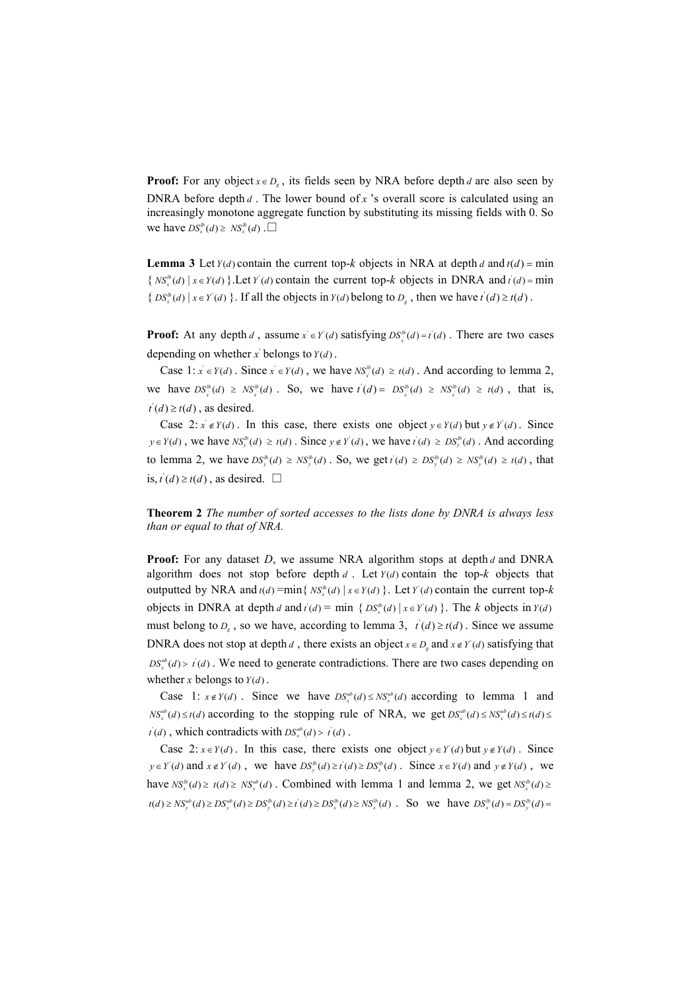**Proof:** For any object  $x \in D_e$ , its fields seen by NRA before depth *d* are also seen by DNRA before depth  $d$ . The lower bound of x 's overall score is calculated using an increasingly monotone aggregate function by substituting its missing fields with 0. So we have  $DS^b$ <sub>s</sub> $(d) \geq NS^b$ <sub>s</sub> $(d)$ .

**Lemma 3** Let  $Y(d)$  contain the current top-k objects in NRA at depth d and  $t(d)$  = min  $\{NS_{\alpha}^{b}(d) \mid x \in Y(d)\}$ . Let  $Y(d)$  contain the current top-k objects in DNRA and  $t(d)$  = min  $\{DS_{\alpha}^{b}(d) | x \in Y(d)\}\$ . If all the objects in  $Y(d)$  belong to  $D_{\alpha}$ , then we have  $t'(d) \ge t(d)$ .

**Proof:** At any depth d, assume  $x \in Y(d)$  satisfying  $DS^b(d) = t(d)$ . There are two cases depending on whether x belongs to  $Y(d)$ .

Case 1:  $x \in Y(d)$ . Since  $x \in Y(d)$ , we have  $NS^b(d) \ge t(d)$ . And according to lemma 2, we have  $DS_{\nu}^{b}(d) \geq NS_{\nu}^{b}(d)$ . So, we have  $t'(d) = DS_{\nu}^{b}(d) \geq NS_{\nu}^{b}(d) \geq t(d)$ , that is,  $t'(d) \geq t(d)$ , as desired.

Case 2:  $x \notin Y(d)$ . In this case, there exists one object  $y \in Y(d)$  but  $y \notin Y(d)$ . Since  $y \in Y(d)$ , we have  $NS_v^b(d) \ge t(d)$ . Since  $y \notin Y'(d)$ , we have  $t'(d) \ge DS_v^b(d)$ . And according to lemma 2, we have  $DS_{\nu}^{lb}(d) \ge NS_{\nu}^{lb}(d)$ . So, we get  $t'(d) \ge DS_{\nu}^{lb}(d) \ge NS_{\nu}^{lb}(d) \ge t(d)$ , that is,  $t'(d) \geq t(d)$ , as desired.  $\square$ 

Theorem 2 The number of sorted accesses to the lists done by DNRA is always less than or equal to that of NRA.

**Proof:** For any dataset  $D$ , we assume NRA algorithm stops at depth  $d$  and DNRA algorithm does not stop before depth d. Let  $Y(d)$  contain the top-k objects that outputted by NRA and  $t(d) = min\{NS_e^b(d) | x \in Y(d)\}\$ . Let  $Y(d)$  contain the current top-k objects in DNRA at depth *d* and  $\vec{t}(d) = \min \{DS_x^{\text{lb}}(d) | x \in Y(d)\}\$ . The *k* objects in  $Y(d)$ must belong to  $D_{\epsilon}$ , so we have, according to lemma 3,  $t'(d) \ge t(d)$ . Since we assume DNRA does not stop at depth d, there exists an object  $x \in D$  and  $x \notin Y(d)$  satisfying that  $DS_{r}^{ub}(d) > t(d)$ . We need to generate contradictions. There are two cases depending on whether x belongs to  $Y(d)$ .

Case 1:  $x \notin Y(d)$ . Since we have  $DS_{y}^{ub}(d) \le NS_{y}^{ub}(d)$  according to lemma 1 and  $NS_{\nu}^{ub}(d) \leq t(d)$  according to the stopping rule of NRA, we get  $DS_{\nu}^{ub}(d) \leq NS_{\nu}^{ub}(d) \leq t(d) \leq$  $t(d)$ , which contradicts with  $DS_x^{ub}(d) > t(d)$ .

Case 2:  $x \in Y(d)$ . In this case, there exists one object  $y \in Y(d)$  but  $y \notin Y(d)$ . Since  $y \in Y'(d)$  and  $x \notin Y'(d)$ , we have  $DS_v^b(d) \ge t(d) \ge DS_x^b(d)$ . Since  $x \in Y(d)$  and  $y \notin Y(d)$ , we have  $NS_v^{\psi}(d) \ge t(d) \ge NS_v^{\psi}(d)$ . Combined with lemma 1 and lemma 2, we get  $NS_v^{\psi}(d) \ge$  $t(d) \geq NS_v^{ub}(d) \geq DS_v^{ub}(d) \geq DS_v^{lb}(d) \geq t(d) \geq DS_x^{lb}(d) \geq NS_x^{lb}(d)$ . So we have  $DS_x^{lb}(d) = DS_v^{lb}(d) =$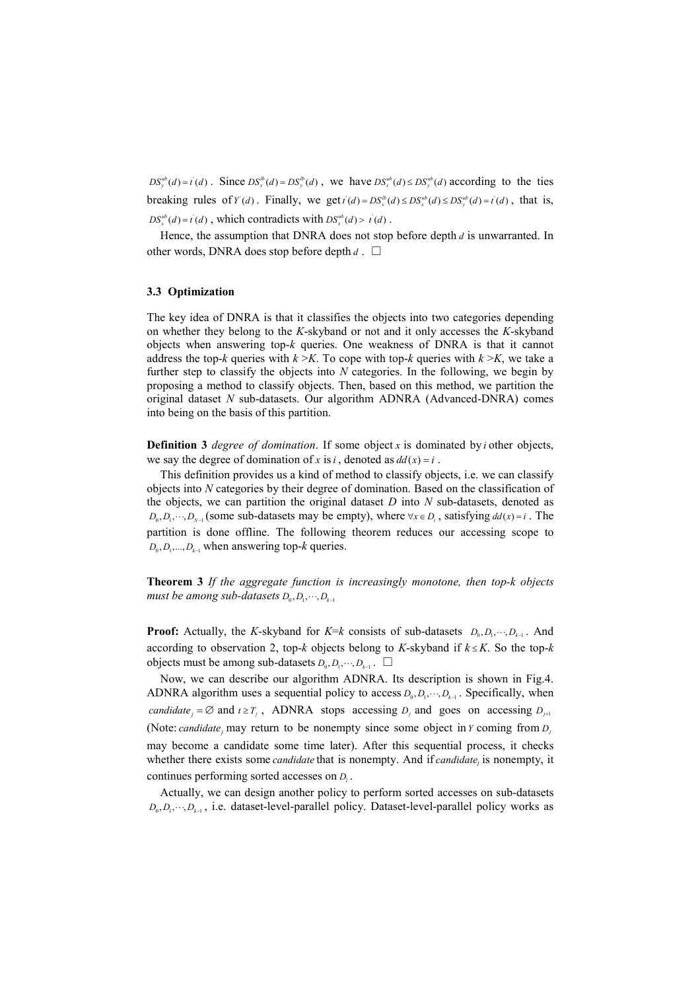$DS_v^{ub}(d) = t'(d)$ . Since  $DS_v^{lb}(d) = DS_v^{lb}(d)$ , we have  $DS_v^{ub}(d) \le DS_v^{ub}(d)$  according to the ties breaking rules of  $Y'(d)$ . Finally, we get  $t'(d) = DS^{\omega}(d) \leq DS^{\omega}(d) \leq DS^{\omega}(d) = t'(d)$ , that is,  $DS_{\nu}^{ub}(d) = t'(d)$ , which contradicts with  $DS_{\nu}^{ub}(d) > t'(d)$ .

Hence, the assumption that DNRA does not stop before depth  $d$  is unwarranted. In other words, DNRA does stop before depth  $d$ .  $\square$ 

# 3.3 Optimization

The key idea of DNRA is that it classifies the objects into two categories depending on whether they belong to the  $K$ -skyband or not and it only accesses the  $K$ -skyband objects when answering top- $k$  queries. One weakness of DNRA is that it cannot address the top-k queries with  $k > K$ . To cope with top-k queries with  $k > K$ , we take a further step to classify the objects into  $N$  categories. In the following, we begin by proposing a method to classify objects. Then, based on this method, we partition the original dataset N sub-datasets. Our algorithm ADNRA (Advanced-DNRA) comes into being on the basis of this partition.

**Definition 3** degree of domination. If some object x is dominated by *i* other objects, we say the degree of domination of x is i, denoted as  $dd(x) = i$ .

This definition provides us a kind of method to classify objects, i.e. we can classify objects into N categories by their degree of domination. Based on the classification of the objects, we can partition the original dataset  $D$  into  $N$  sub-datasets, denoted as  $D_0, D_1, \dots, D_{N-1}$  (some sub-datasets may be empty), where  $\forall x \in D_i$ , satisfying  $dd(x) = i$ . The partition is done offline. The following theorem reduces our accessing scope to  $D_0, D_1, \ldots, D_{k-1}$  when answering top-k queries.

Theorem 3 If the aggregate function is increasingly monotone, then top-k objects must be among sub-datasets  $D_0, D_1, \dots, D_{k-1}$ 

**Proof:** Actually, the K-skyband for K=k consists of sub-datasets  $D_0, D_1, \dots, D_{k-1}$ . And according to observation 2, top-k objects belong to K-skyband if  $k \leq K$ . So the top-k objects must be among sub-datasets  $D_0, D_1, \dots, D_{k-1}$ .  $\square$ 

Now, we can describe our algorithm ADNRA. Its description is shown in Fig.4. ADNRA algorithm uses a sequential policy to access  $D_0, D_1, \dots, D_{k-1}$ . Specifically, when *candidate* =  $\emptyset$  and  $t \geq T_i$ , ADNRA stops accessing  $D_i$  and goes on accessing  $D_{i+1}$ (Note: candidate, may return to be nonempty since some object in  $Y$  coming from  $D_i$ may become a candidate some time later). After this sequential process, it checks whether there exists some *candidate* that is nonempty. And if *candidate*, is nonempty, it continues performing sorted accesses on  $D_i$ .

Actually, we can design another policy to perform sorted accesses on sub-datasets  $D_0, D_1, \dots, D_{k-1}$ , i.e. dataset-level-parallel policy. Dataset-level-parallel policy works as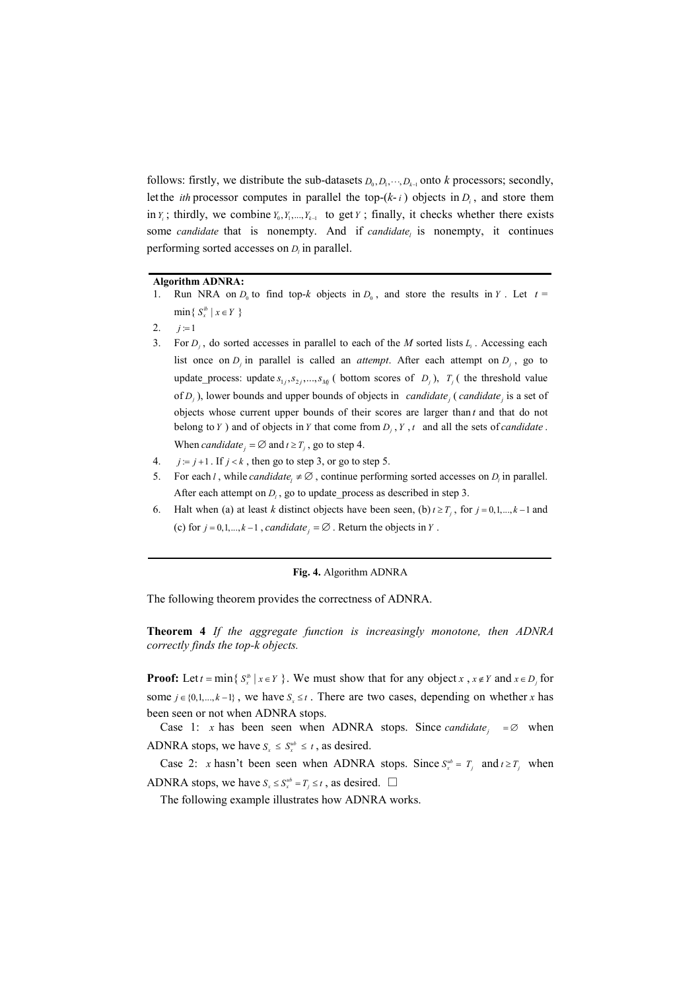follows: firstly, we distribute the sub-datasets  $D_0, D_1, \dots, D_{k-1}$  onto k processors; secondly, let the *ith* processor computes in parallel the top- $(k-i)$  objects in  $D_i$ , and store them in  $Y_i$ ; thirdly, we combine  $Y_0, Y_1, ..., Y_{k-1}$  to get  $Y$ ; finally, it checks whether there exists some candidate that is nonempty. And if candidate, is nonempty, it continues performing sorted accesses on  $D_i$  in parallel.

# **Algorithm ADNRA:**

- 1. Run NRA on  $D_0$  to find top-k objects in  $D_0$ , and store the results in Y. Let  $t =$  $\min\{S_{x}^{lb} | x \in Y\}$
- $2.$  $i := 1$
- 3. For  $D_i$ , do sorted accesses in parallel to each of the M sorted lists  $L_i$ . Accessing each list once on  $D_i$  in parallel is called an *attempt*. After each attempt on  $D_i$ , go to update\_process: update  $s_{1i}$ ,  $s_{2i}$ ,...,  $s_{Mi}$  (bottom scores of  $D_i$ ),  $T_i$  (the threshold value of  $D_i$ ), lower bounds and upper bounds of objects in *candidate* (*candidate* is a set of objects whose current upper bounds of their scores are larger than  $t$  and that do not belong to Y ) and of objects in Y that come from  $D_i$ , Y, t and all the sets of *candidate*. When *candidate*, =  $\emptyset$  and  $t \geq T_i$ , go to step 4.
- $j = j+1$ . If  $j < k$ , then go to step 3, or go to step 5.  $4.$
- 5. For each *l*, while *candidate*<sub>*l*</sub>  $\neq \emptyset$ , continue performing sorted accesses on *D*<sub>*l*</sub> in parallel. After each attempt on  $D_l$ , go to update\_process as described in step 3.
- 6. Halt when (a) at least k distinct objects have been seen, (b)  $t \ge T_i$ , for  $j = 0, 1, ..., k-1$  and (c) for  $j = 0, 1, ..., k - 1$ , candidate,  $= \emptyset$ . Return the objects in Y.

### Fig. 4. Algorithm ADNRA

The following theorem provides the correctness of ADNRA.

Theorem 4 If the aggregate function is increasingly monotone, then ADNRA correctly finds the top-k objects.

**Proof:** Let  $t = min\{S_x^b | x \in Y\}$ . We must show that for any object  $x, x \notin Y$  and  $x \in D$ , for some  $j \in \{0,1,...,k-1\}$ , we have  $S_r \leq t$ . There are two cases, depending on whether x has been seen or not when ADNRA stops.

Case 1:  $x$  has been seen when ADNRA stops. Since *candidate*,  $=\emptyset$  when ADNRA stops, we have  $S_x \leq S_x^{ub} \leq t$ , as desired.

Case 2: x hasn't been seen when ADNRA stops. Since  $S_x^{ub} = T_i$  and  $t \ge T_i$  when ADNRA stops, we have  $S_r \leq S_v^{ub} = T_i \leq t$ , as desired.  $\square$ 

The following example illustrates how ADNRA works.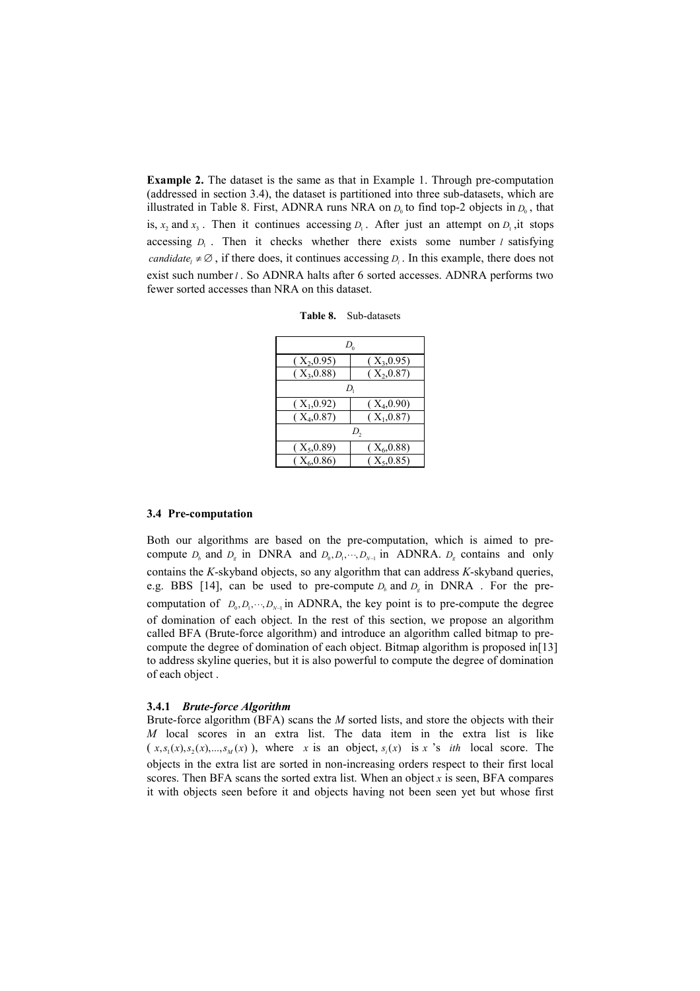**Example 2.** The dataset is the same as that in Example 1. Through pre-computation (addressed in section 3.4), the dataset is partitioned into three sub-datasets, which are illustrated in Table 8. First, ADNRA runs NRA on  $D_0$  to find top-2 objects in  $D_0$ , that is,  $x_2$  and  $x_3$ . Then it continues accessing  $D_1$ . After just an attempt on  $D_1$ , it stops accessing  $D_1$ . Then it checks whether there exists some number *l* satisfying *candidate*,  $\neq \emptyset$ , if there does, it continues accessing  $D_i$ . In this example, there does not exist such number *l*. So ADNRA halts after 6 sorted accesses. ADNRA performs two fewer sorted accesses than NRA on this dataset.

Table 8. Sub-datasets

| $D_{\scriptscriptstyle 0}$ |               |  |  |
|----------------------------|---------------|--|--|
| $(X_2, 0.95)$              | $(X_3, 0.95)$ |  |  |
| $(X_3, 0.88)$              | $(X_2, 0.87)$ |  |  |
| D,                         |               |  |  |
| $(X_1, 0.92)$              | $(X_4, 0.90)$ |  |  |
| $(X_4, 0.87)$              | $(X_1, 0.87)$ |  |  |
| D,                         |               |  |  |
| $(X_5, 0.89)$              | $(X_6, 0.88)$ |  |  |
| $X_6, 0.86$                | $X_5, 0.85$   |  |  |

### 3.4 Pre-computation

Both our algorithms are based on the pre-computation, which is aimed to precompute  $D_b$  and  $D_g$  in DNRA and  $D_0, D_1, \dots, D_{N-1}$  in ADNRA.  $D_g$  contains and only contains the  $K$ -skyband objects, so any algorithm that can address  $K$ -skyband queries, e.g. BBS [14], can be used to pre-compute  $D_b$  and  $D_e$  in DNRA. For the precomputation of  $D_0, D_1, \dots, D_{N-1}$  in ADNRA, the key point is to pre-compute the degree of domination of each object. In the rest of this section, we propose an algorithm called BFA (Brute-force algorithm) and introduce an algorithm called bitmap to precompute the degree of domination of each object. Bitmap algorithm is proposed in [13] to address skyline queries, but it is also powerful to compute the degree of domination of each object.

### 3.4.1 Brute-force Algorithm

Brute-force algorithm (BFA) scans the M sorted lists, and store the objects with their M local scores in an extra list. The data item in the extra list is like  $(x, s_1(x), s_2(x),...,s_M(x))$ , where x is an object,  $s_i(x)$  is x 's *ith* local score. The objects in the extra list are sorted in non-increasing orders respect to their first local scores. Then BFA scans the sorted extra list. When an object  $x$  is seen, BFA compares it with objects seen before it and objects having not been seen yet but whose first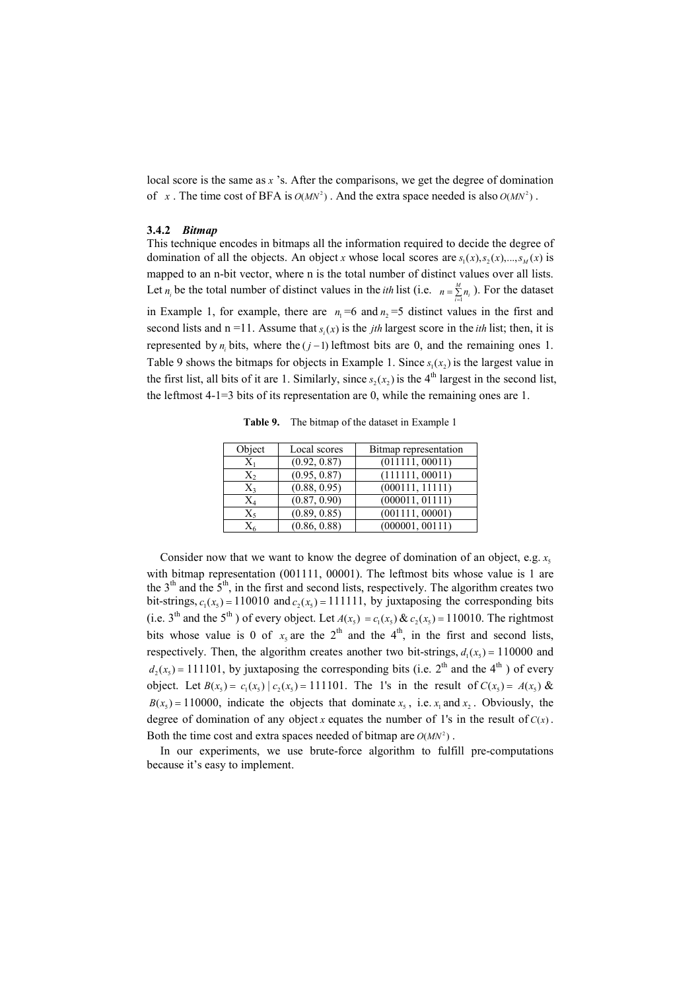local score is the same as  $x$ 's. After the comparisons, we get the degree of domination of x. The time cost of BFA is  $O(MN^2)$ . And the extra space needed is also  $O(MN^2)$ .

# $3.4.2$  Bitman

This technique encodes in bitmaps all the information required to decide the degree of domination of all the objects. An object x whose local scores are  $s_1(x), s_2(x),...,s_M(x)$  is mapped to an n-bit vector, where n is the total number of distinct values over all lists. Let  $n_i$  be the total number of distinct values in the *i*th list (i.e.  $n = \sum_{i=1}^{M} n_i$ ). For the dataset in Example 1, for example, there are  $n_1 = 6$  and  $n_2 = 5$  distinct values in the first and second lists and  $n = 11$ . Assume that  $s_i(x)$  is the *jth* largest score in the *ith* list; then, it is represented by  $n_i$ , bits, where the  $(j-1)$  leftmost bits are 0, and the remaining ones 1. Table 9 shows the bitmaps for objects in Example 1. Since  $s_1(x_2)$  is the largest value in the first list, all bits of it are 1. Similarly, since  $s_2(x_2)$  is the 4<sup>th</sup> largest in the second list, the leftmost  $4-1=3$  bits of its representation are 0, while the remaining ones are 1.

Obiect Local scores Bitmap representation  $(0.92, 0.87)$  $(011111, 00011)$  $X_1$  $(111111, 00011)$  $X_{2}$  $(0.95, 0.87)$  $\overline{X_3}$  $(000111, 11111)$  $(0.88, 0.95)$  $\overline{X_4}$  $(0.87, 0.90)$  $(000011, 01111)$  $(001111, 00001)$  $X<sub>5</sub>$  $(0.89, 0.85)$  $\overline{X_6}$  $(0.86, 0.88)$  $(000001, 00111)$ 

Table 9. The bitmap of the dataset in Example 1

Consider now that we want to know the degree of domination of an object, e.g.  $x_s$ with bitmap representation  $(001111, 00001)$ . The leftmost bits whose value is 1 are the  $3<sup>th</sup>$  and the  $5<sup>th</sup>$ , in the first and second lists, respectively. The algorithm creates two bit-strings,  $c_1(x_5) = 110010$  and  $c_2(x_5) = 111111$ , by juxtaposing the corresponding bits (i.e. 3<sup>th</sup> and the 5<sup>th</sup>) of every object. Let  $A(x_5) = c_1(x_5) \& c_2(x_5) = 110010$ . The rightmost bits whose value is 0 of  $x_5$  are the 2<sup>th</sup> and the 4<sup>th</sup>, in the first and second lists, respectively. Then, the algorithm creates another two bit-strings,  $d_1(x_5) = 110000$  and  $d_1(x_s) = 111101$ , by juxtaposing the corresponding bits (i.e. 2<sup>th</sup> and the 4<sup>th</sup>) of every object. Let  $B(x_5) = c_1(x_5) | c_2(x_5) = 111101$ . The 1's in the result of  $C(x_5) = A(x_5)$  &  $B(x_1) = 110000$ , indicate the objects that dominate  $x_2$ , i.e.  $x_1$  and  $x_2$ . Obviously, the degree of domination of any object x equates the number of 1's in the result of  $C(x)$ . Both the time cost and extra spaces needed of bitmap are  $O(MN^2)$ .

In our experiments, we use brute-force algorithm to fulfill pre-computations because it's easy to implement.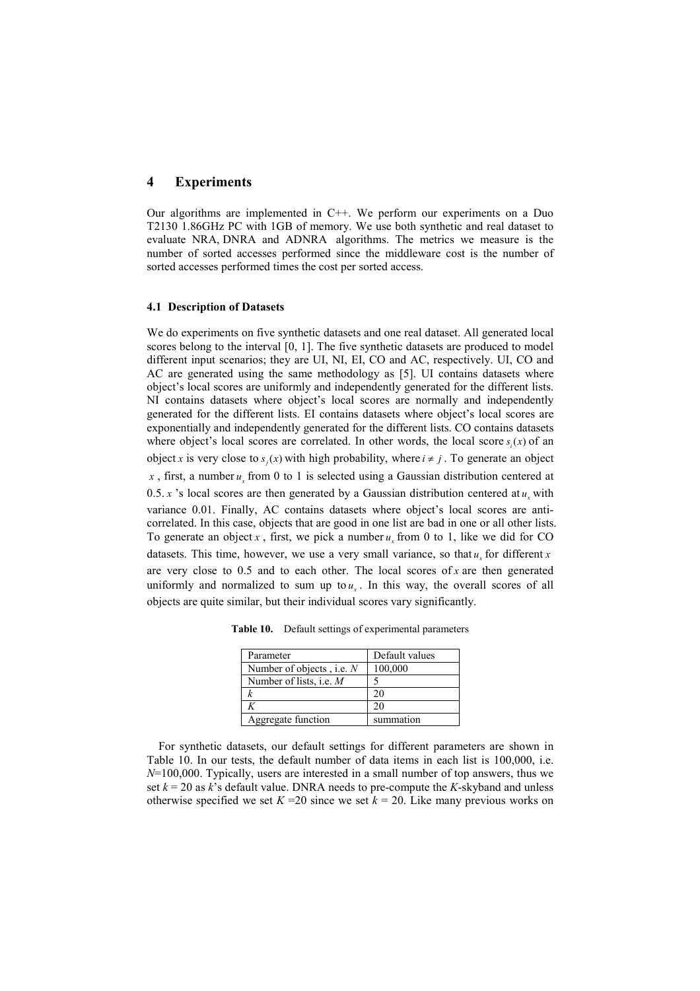#### $\overline{\mathbf{4}}$ **Experiments**

Our algorithms are implemented in C++. We perform our experiments on a Duo T2130 1.86GHz PC with 1GB of memory. We use both synthetic and real dataset to evaluate NRA, DNRA and ADNRA algorithms. The metrics we measure is the number of sorted accesses performed since the middleware cost is the number of sorted accesses performed times the cost per sorted access.

# **4.1 Description of Datasets**

We do experiments on five synthetic datasets and one real dataset. All generated local scores belong to the interval [0, 1]. The five synthetic datasets are produced to model different input scenarios; they are UI, NI, EI, CO and AC, respectively. UI, CO and AC are generated using the same methodology as [5]. UI contains datasets where object's local scores are uniformly and independently generated for the different lists. NI contains datasets where object's local scores are normally and independently generated for the different lists. EI contains datasets where object's local scores are exponentially and independently generated for the different lists. CO contains datasets where object's local scores are correlated. In other words, the local score  $s_i(x)$  of an object x is very close to  $s_i(x)$  with high probability, where  $i \neq j$ . To generate an object  $x$ , first, a number  $u_x$  from 0 to 1 is selected using a Gaussian distribution centered at 0.5. x 's local scores are then generated by a Gaussian distribution centered at  $u_{\nu}$  with variance 0.01. Finally, AC contains datasets where object's local scores are anticorrelated. In this case, objects that are good in one list are bad in one or all other lists. To generate an object x, first, we pick a number  $u_x$  from 0 to 1, like we did for CO datasets. This time, however, we use a very small variance, so that  $u<sub>x</sub>$  for different x are very close to  $0.5$  and to each other. The local scores of x are then generated uniformly and normalized to sum up to  $u<sub>x</sub>$ . In this way, the overall scores of all objects are quite similar, but their individual scores vary significantly.

| Parameter                   | Default values |
|-----------------------------|----------------|
| Number of objects, i.e. $N$ | 100,000        |
| Number of lists, i.e. $M$   |                |
|                             | 20             |
|                             | 20             |
| Aggregate function          | summation      |

Table 10. Default settings of experimental parameters

For synthetic datasets, our default settings for different parameters are shown in Table 10. In our tests, the default number of data items in each list is 100,000, i.e.  $N=100,000$ . Typically, users are interested in a small number of top answers, thus we set  $k = 20$  as k's default value. DNRA needs to pre-compute the K-skyband and unless otherwise specified we set  $K = 20$  since we set  $k = 20$ . Like many previous works on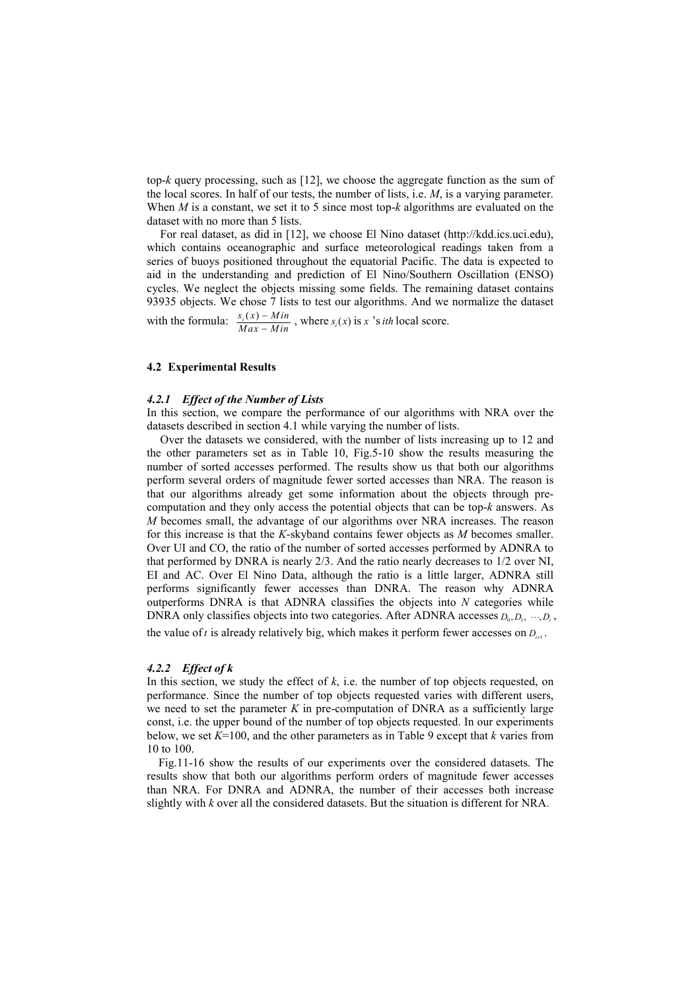top- $k$  query processing, such as [12], we choose the aggregate function as the sum of the local scores. In half of our tests, the number of lists, i.e.  $M$ , is a varying parameter. When M is a constant, we set it to 5 since most top- $k$  algorithms are evaluated on the dataset with no more than 5 lists.

For real dataset, as did in [12], we choose El Nino dataset (http://kdd.ics.uci.edu), which contains oceanographic and surface meteorological readings taken from a series of buoys positioned throughout the equatorial Pacific. The data is expected to aid in the understanding and prediction of El Nino/Southern Oscillation (ENSO) cycles. We neglect the objects missing some fields. The remaining dataset contains 93935 objects. We chose 7 lists to test our algorithms. And we normalize the dataset with the formula:  $\frac{s_i(x) - Min}{Max - Min}$ , where  $s_i(x)$  is x 's *ith* local score.

# **4.2 Experimental Results**

### 4.2.1 Effect of the Number of Lists

In this section, we compare the performance of our algorithms with NRA over the datasets described in section 4.1 while varying the number of lists.

Over the datasets we considered, with the number of lists increasing up to 12 and the other parameters set as in Table 10, Fig.5-10 show the results measuring the number of sorted accesses performed. The results show us that both our algorithms perform several orders of magnitude fewer sorted accesses than NRA. The reason is that our algorithms already get some information about the objects through precomputation and they only access the potential objects that can be top- $k$  answers. As M becomes small, the advantage of our algorithms over NRA increases. The reason for this increase is that the  $K$ -skyband contains fewer objects as  $M$  becomes smaller. Over UI and CO, the ratio of the number of sorted accesses performed by ADNRA to that performed by DNRA is nearly  $2/3$ . And the ratio nearly decreases to  $1/2$  over NI. EI and AC. Over El Nino Data, although the ratio is a little larger, ADNRA still performs significantly fewer accesses than DNRA. The reason why ADNRA outperforms  $DNRA$  is that  $ADNRA$  classifies the objects into  $N$  categories while DNRA only classifies objects into two categories. After ADNRA accesses  $D_0, D_1, \dots, D_k$ , the value of t is already relatively big, which makes it perform fewer accesses on  $D_{H}$ .

### 4.2.2 Effect of k

In this section, we study the effect of  $k$ , i.e. the number of top objects requested, on performance. Since the number of top objects requested varies with different users, we need to set the parameter  $K$  in pre-computation of DNRA as a sufficiently large const, i.e. the upper bound of the number of top objects requested. In our experiments below, we set  $K=100$ , and the other parameters as in Table 9 except that k varies from 10 to 100.

Fig.11-16 show the results of our experiments over the considered datasets. The results show that both our algorithms perform orders of magnitude fewer accesses than NRA. For DNRA and ADNRA, the number of their accesses both increase slightly with  $k$  over all the considered datasets. But the situation is different for NRA.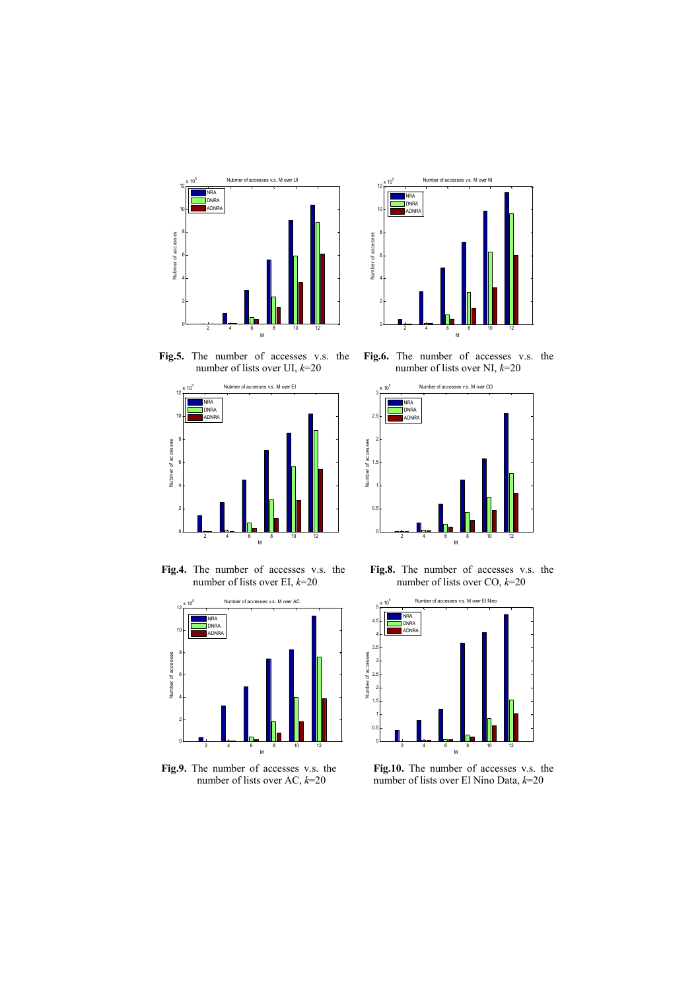

Fig.5. The number of accesses v.s. the



Fig.4. The number of accesses v.s. the number of lists over EI,  $k=20$ 



Fig.9. The number of accesses v.s. the number of lists over AC, k=20



Fig.6. The number of accesses v.s. the number of lists over NI,  $k=20$ 



Fig.8. The number of accesses v.s. the number of lists over CO,  $k=20$ 



Fig.10. The number of accesses v.s. the number of lists over El Nino Data,  $k=20$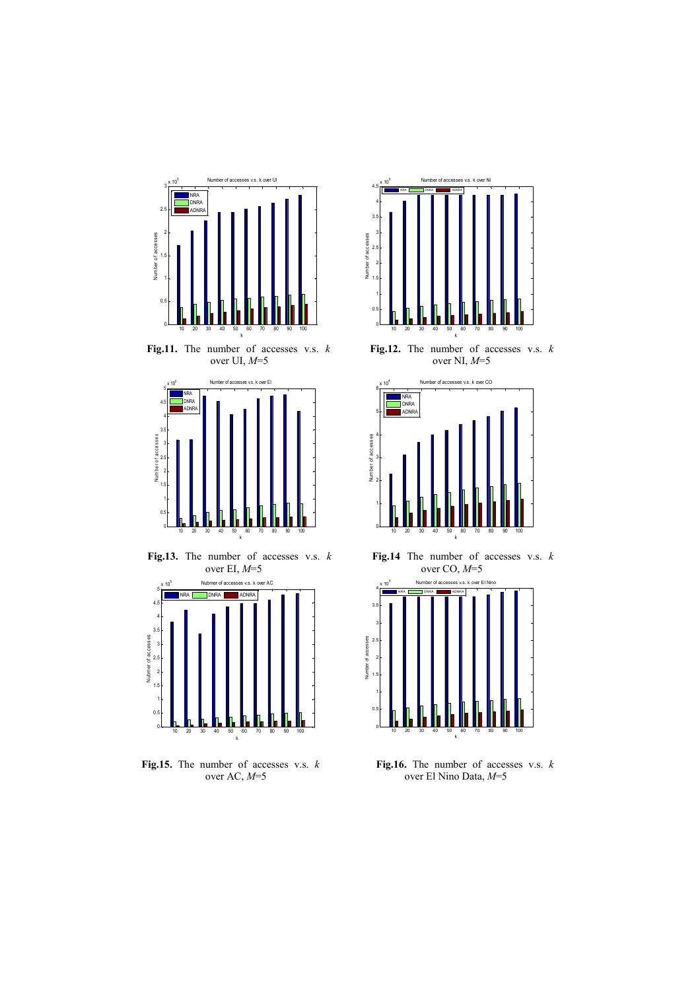

Fig.11. The number of accesses v.s.  $k$ over UI,  $M=5$ 



Fig.13. The number of accesses v.s.  $k$ over EI,  $M=5$ 



Fig.15. The number of accesses v.s.  $k$ over AC,  $M=5$ 



Fig.12. The number of accesses v.s.  $k$ over NI,  $M=5$ 



Fig.14 The number of accesses v.s.  $k$ over CO,  $M=5$ 



Fig.16. The number of accesses v.s.  $k$ over El Nino Data, M=5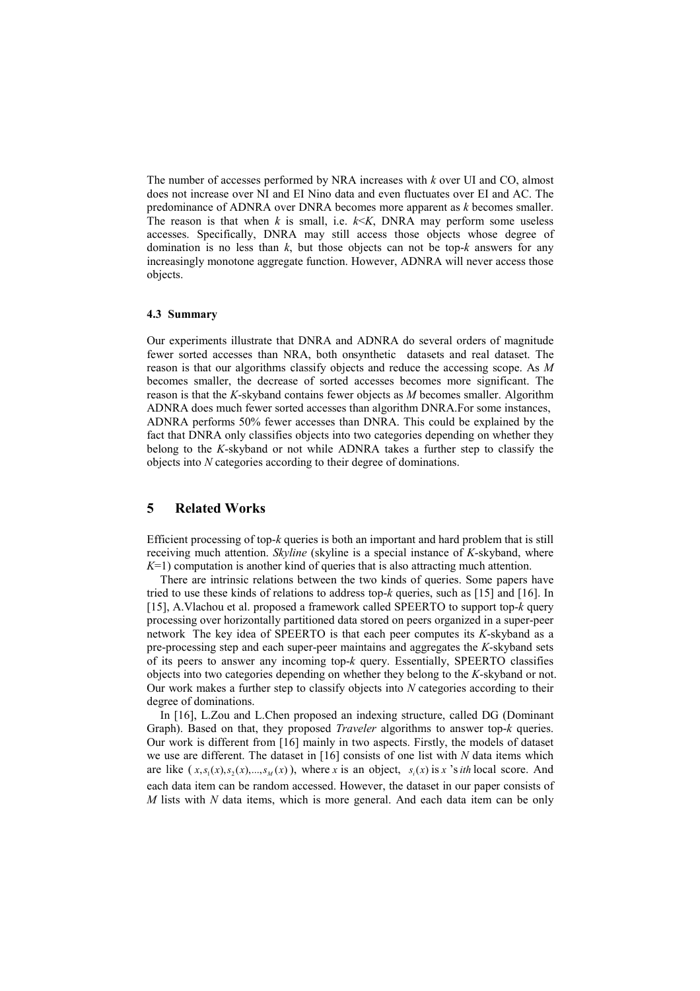The number of accesses performed by NRA increases with  $k$  over UI and CO, almost does not increase over NI and EI Nino data and even fluctuates over EI and AC. The predominance of ADNRA over DNRA becomes more apparent as  $k$  becomes smaller. The reason is that when k is small, i.e.  $k \le K$ , DNRA may perform some useless accesses. Specifically, DNRA may still access those objects whose degree of domination is no less than  $k$ , but those objects can not be top- $k$  answers for any increasingly monotone aggregate function. However, ADNRA will never access those objects.

# 4.3 Summary

Our experiments illustrate that DNRA and ADNRA do several orders of magnitude fewer sorted accesses than NRA, both onsynthetic datasets and real dataset. The reason is that our algorithms classify objects and reduce the accessing scope. As M becomes smaller, the decrease of sorted accesses becomes more significant. The reason is that the K-skyband contains fewer objects as M becomes smaller. Algorithm ADNRA does much fewer sorted accesses than algorithm DNRA. For some instances, ADNRA performs 50% fewer accesses than DNRA. This could be explained by the fact that DNRA only classifies objects into two categories depending on whether they belong to the K-skyband or not while ADNRA takes a further step to classify the objects into N categories according to their degree of dominations.

#### 5 **Related Works**

Efficient processing of top-k queries is both an important and hard problem that is still receiving much attention. Skyline (skyline is a special instance of K-skyband, where  $K=1$ ) computation is another kind of queries that is also attracting much attention.

There are intrinsic relations between the two kinds of queries. Some papers have tried to use these kinds of relations to address top- $k$  queries, such as [15] and [16]. In [15], A.Vlachou et al. proposed a framework called SPEERTO to support top- $k$  query processing over horizontally partitioned data stored on peers organized in a super-peer network The key idea of SPEERTO is that each peer computes its K-skyband as a pre-processing step and each super-peer maintains and aggregates the K-skyband sets of its peers to answer any incoming top- $k$  query. Essentially, SPEERTO classifies objects into two categories depending on whether they belong to the K-skyband or not. Our work makes a further step to classify objects into  $N$  categories according to their degree of dominations.

In [16], L.Zou and L.Chen proposed an indexing structure, called DG (Dominant Graph). Based on that, they proposed *Traveler* algorithms to answer top-k queries. Our work is different from [16] mainly in two aspects. Firstly, the models of dataset we use are different. The dataset in  $[16]$  consists of one list with N data items which are like  $(x, s_1(x), s_2(x),...,s_M(x))$ , where x is an object,  $s_i(x)$  is x 's *ith* local score. And each data item can be random accessed. However, the dataset in our paper consists of M lists with N data items, which is more general. And each data item can be only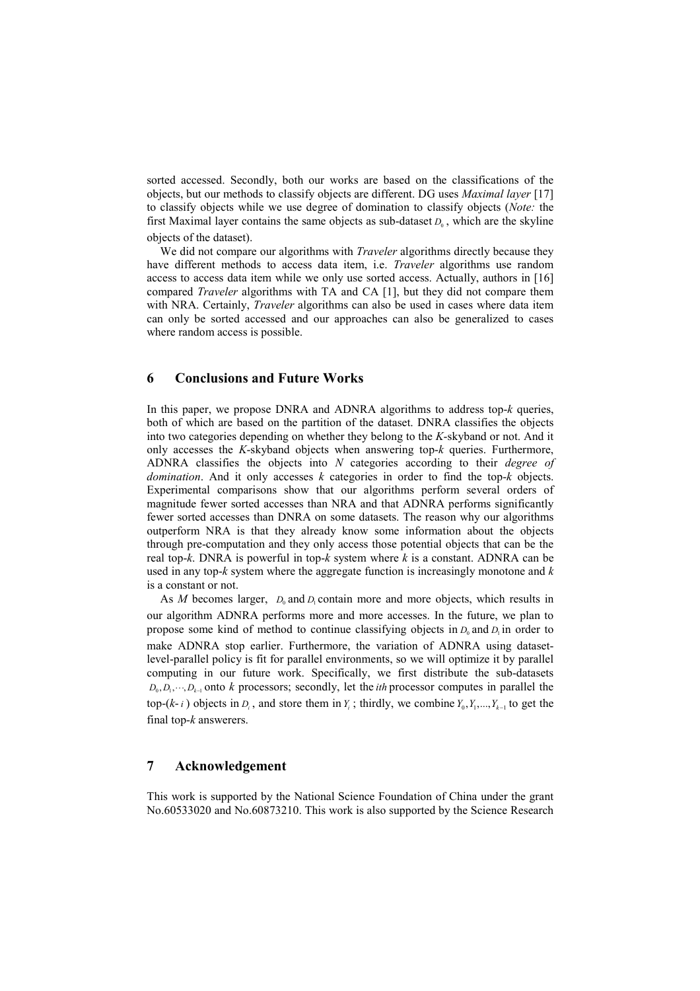sorted accessed. Secondly, both our works are based on the classifications of the objects, but our methods to classify objects are different. DG uses *Maximal layer* [17] to classify objects while we use degree of domination to classify objects (Note: the first Maximal layer contains the same objects as sub-dataset  $D_0$ , which are the skyline objects of the dataset).

We did not compare our algorithms with *Traveler* algorithms directly because they have different methods to access data item, i.e. *Traveler* algorithms use random access to access data item while we only use sorted access. Actually, authors in [16] compared Traveler algorithms with TA and CA [1], but they did not compare them with NRA. Certainly, *Traveler* algorithms can also be used in cases where data item can only be sorted accessed and our approaches can also be generalized to cases where random access is possible.

#### 6 **Conclusions and Future Works**

In this paper, we propose DNRA and ADNRA algorithms to address top-k queries, both of which are based on the partition of the dataset. DNRA classifies the objects into two categories depending on whether they belong to the K-skyband or not. And it only accesses the K-skyband objects when answering top- $k$  queries. Furthermore, ADNRA classifies the objects into  $N$  categories according to their *degree of domination*. And it only accesses  $k$  categories in order to find the top- $k$  objects. Experimental comparisons show that our algorithms perform several orders of magnitude fewer sorted accesses than NRA and that ADNRA performs significantly fewer sorted accesses than DNRA on some datasets. The reason why our algorithms outperform NRA is that they already know some information about the objects through pre-computation and they only access those potential objects that can be the real top-k. DNRA is powerful in top-k system where k is a constant. ADNRA can be used in any top- $k$  system where the aggregate function is increasingly monotone and  $k$ is a constant or not.

As M becomes larger,  $D_0$  and  $D_1$  contain more and more objects, which results in our algorithm ADNRA performs more and more accesses. In the future, we plan to propose some kind of method to continue classifying objects in  $D_0$  and  $D_1$  in order to make ADNRA stop earlier. Furthermore, the variation of ADNRA using datasetlevel-parallel policy is fit for parallel environments, so we will optimize it by parallel computing in our future work. Specifically, we first distribute the sub-datasets  $D_0, D_1, \dots, D_{k-1}$  onto k processors; secondly, let the *ith* processor computes in parallel the top- $(k-i)$  objects in  $D_i$ , and store them in  $Y_i$ ; thirdly, we combine  $Y_0, Y_1, \ldots, Y_{k-1}$  to get the final top- $k$  answerers.

#### $\overline{7}$ Acknowledgement

This work is supported by the National Science Foundation of China under the grant No.60533020 and No.60873210. This work is also supported by the Science Research